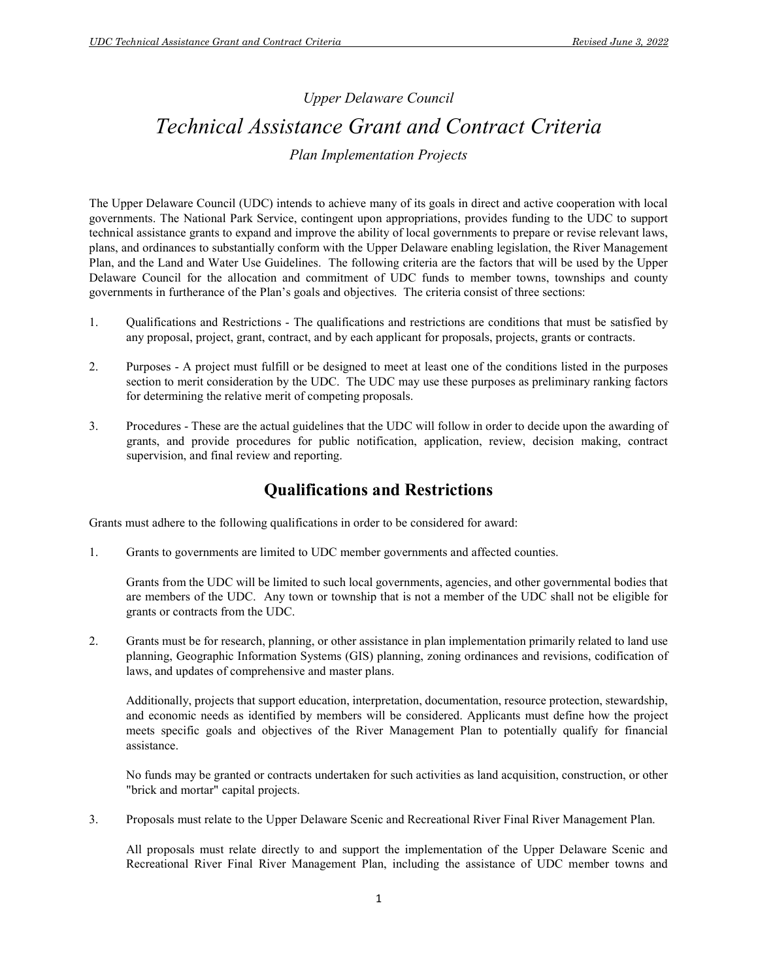# Upper Delaware Council

# Technical Assistance Grant and Contract Criteria

## Plan Implementation Projects

The Upper Delaware Council (UDC) intends to achieve many of its goals in direct and active cooperation with local governments. The National Park Service, contingent upon appropriations, provides funding to the UDC to support technical assistance grants to expand and improve the ability of local governments to prepare or revise relevant laws, plans, and ordinances to substantially conform with the Upper Delaware enabling legislation, the River Management Plan, and the Land and Water Use Guidelines. The following criteria are the factors that will be used by the Upper Delaware Council for the allocation and commitment of UDC funds to member towns, townships and county governments in furtherance of the Plan's goals and objectives. The criteria consist of three sections:

- 1. Qualifications and Restrictions The qualifications and restrictions are conditions that must be satisfied by any proposal, project, grant, contract, and by each applicant for proposals, projects, grants or contracts.
- 2. Purposes A project must fulfill or be designed to meet at least one of the conditions listed in the purposes section to merit consideration by the UDC. The UDC may use these purposes as preliminary ranking factors for determining the relative merit of competing proposals.
- 3. Procedures These are the actual guidelines that the UDC will follow in order to decide upon the awarding of grants, and provide procedures for public notification, application, review, decision making, contract supervision, and final review and reporting.

# Qualifications and Restrictions

Grants must adhere to the following qualifications in order to be considered for award:

1. Grants to governments are limited to UDC member governments and affected counties.

Grants from the UDC will be limited to such local governments, agencies, and other governmental bodies that are members of the UDC. Any town or township that is not a member of the UDC shall not be eligible for grants or contracts from the UDC.

2. Grants must be for research, planning, or other assistance in plan implementation primarily related to land use planning, Geographic Information Systems (GIS) planning, zoning ordinances and revisions, codification of laws, and updates of comprehensive and master plans.

Additionally, projects that support education, interpretation, documentation, resource protection, stewardship, and economic needs as identified by members will be considered. Applicants must define how the project meets specific goals and objectives of the River Management Plan to potentially qualify for financial assistance.

No funds may be granted or contracts undertaken for such activities as land acquisition, construction, or other "brick and mortar" capital projects.

3. Proposals must relate to the Upper Delaware Scenic and Recreational River Final River Management Plan.

All proposals must relate directly to and support the implementation of the Upper Delaware Scenic and Recreational River Final River Management Plan, including the assistance of UDC member towns and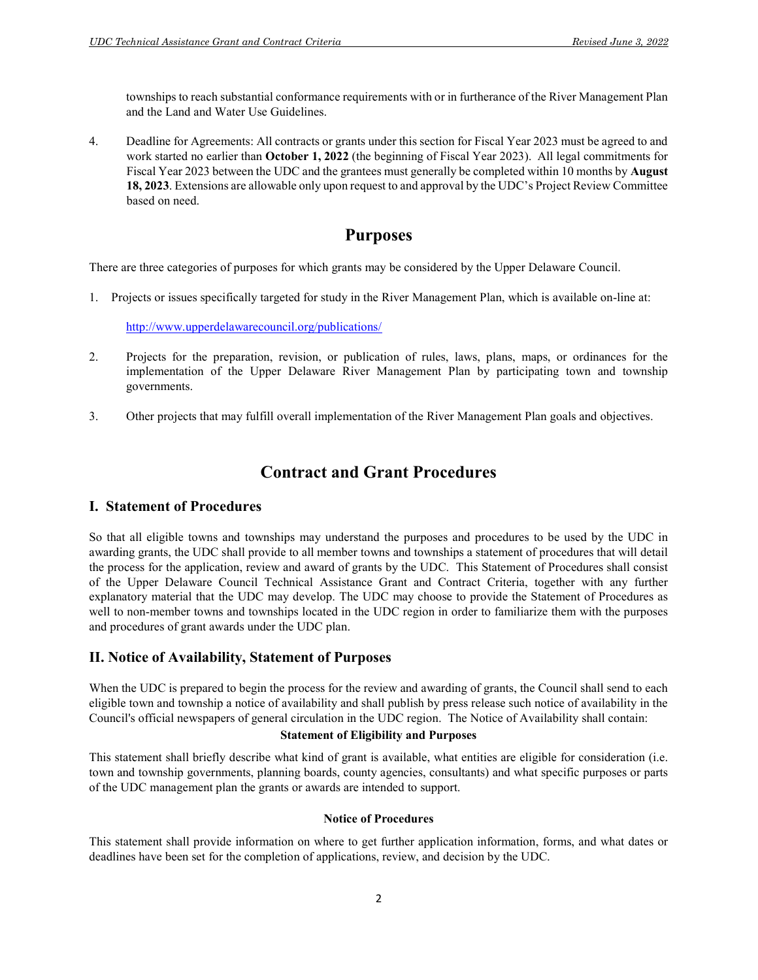townships to reach substantial conformance requirements with or in furtherance of the River Management Plan and the Land and Water Use Guidelines.

4. Deadline for Agreements: All contracts or grants under this section for Fiscal Year 2023 must be agreed to and work started no earlier than October 1, 2022 (the beginning of Fiscal Year 2023). All legal commitments for Fiscal Year 2023 between the UDC and the grantees must generally be completed within 10 months by **August** 18, 2023. Extensions are allowable only upon request to and approval by the UDC's Project Review Committee based on need.

# Purposes

There are three categories of purposes for which grants may be considered by the Upper Delaware Council.

1. Projects or issues specifically targeted for study in the River Management Plan, which is available on-line at:

http://www.upperdelawarecouncil.org/publications/

- 2. Projects for the preparation, revision, or publication of rules, laws, plans, maps, or ordinances for the implementation of the Upper Delaware River Management Plan by participating town and township governments.
- 3. Other projects that may fulfill overall implementation of the River Management Plan goals and objectives.

# Contract and Grant Procedures

### I. Statement of Procedures

So that all eligible towns and townships may understand the purposes and procedures to be used by the UDC in awarding grants, the UDC shall provide to all member towns and townships a statement of procedures that will detail the process for the application, review and award of grants by the UDC. This Statement of Procedures shall consist of the Upper Delaware Council Technical Assistance Grant and Contract Criteria, together with any further explanatory material that the UDC may develop. The UDC may choose to provide the Statement of Procedures as well to non-member towns and townships located in the UDC region in order to familiarize them with the purposes and procedures of grant awards under the UDC plan.

### II. Notice of Availability, Statement of Purposes

When the UDC is prepared to begin the process for the review and awarding of grants, the Council shall send to each eligible town and township a notice of availability and shall publish by press release such notice of availability in the Council's official newspapers of general circulation in the UDC region. The Notice of Availability shall contain:

#### Statement of Eligibility and Purposes

This statement shall briefly describe what kind of grant is available, what entities are eligible for consideration (i.e. town and township governments, planning boards, county agencies, consultants) and what specific purposes or parts of the UDC management plan the grants or awards are intended to support.

#### Notice of Procedures

This statement shall provide information on where to get further application information, forms, and what dates or deadlines have been set for the completion of applications, review, and decision by the UDC.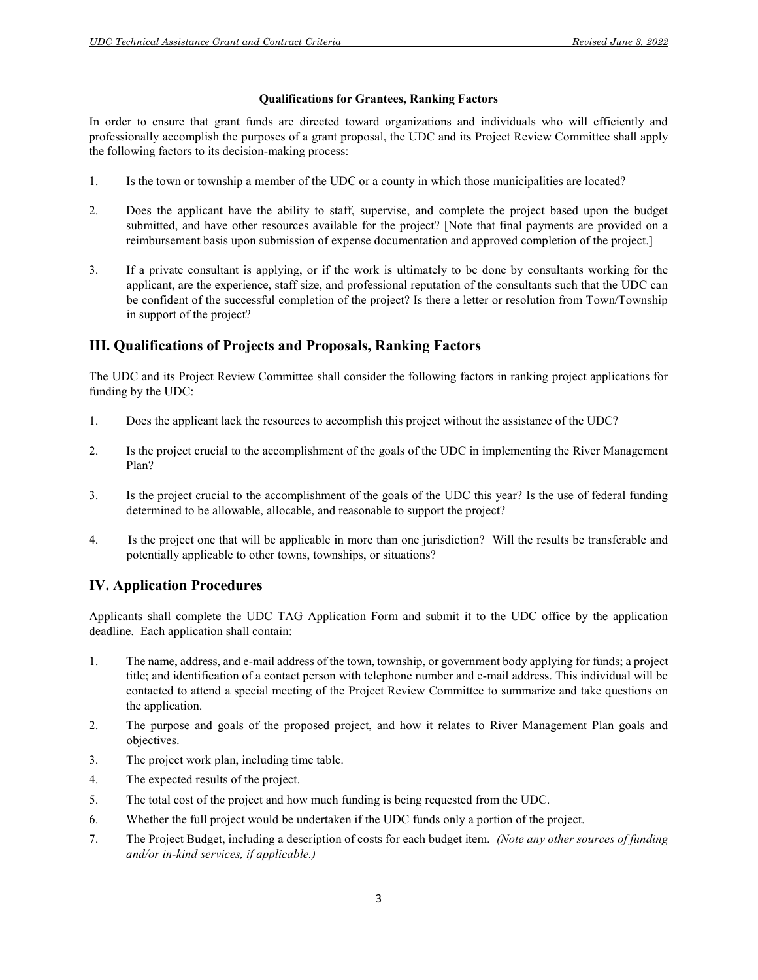#### Qualifications for Grantees, Ranking Factors

In order to ensure that grant funds are directed toward organizations and individuals who will efficiently and professionally accomplish the purposes of a grant proposal, the UDC and its Project Review Committee shall apply the following factors to its decision-making process:

- 1. Is the town or township a member of the UDC or a county in which those municipalities are located?
- 2. Does the applicant have the ability to staff, supervise, and complete the project based upon the budget submitted, and have other resources available for the project? [Note that final payments are provided on a reimbursement basis upon submission of expense documentation and approved completion of the project.]
- 3. If a private consultant is applying, or if the work is ultimately to be done by consultants working for the applicant, are the experience, staff size, and professional reputation of the consultants such that the UDC can be confident of the successful completion of the project? Is there a letter or resolution from Town/Township in support of the project?

### III. Qualifications of Projects and Proposals, Ranking Factors

The UDC and its Project Review Committee shall consider the following factors in ranking project applications for funding by the UDC:

- 1. Does the applicant lack the resources to accomplish this project without the assistance of the UDC?
- 2. Is the project crucial to the accomplishment of the goals of the UDC in implementing the River Management Plan?
- 3. Is the project crucial to the accomplishment of the goals of the UDC this year? Is the use of federal funding determined to be allowable, allocable, and reasonable to support the project?
- 4. Is the project one that will be applicable in more than one jurisdiction? Will the results be transferable and potentially applicable to other towns, townships, or situations?

# IV. Application Procedures

Applicants shall complete the UDC TAG Application Form and submit it to the UDC office by the application deadline. Each application shall contain:

- 1. The name, address, and e-mail address of the town, township, or government body applying for funds; a project title; and identification of a contact person with telephone number and e-mail address. This individual will be contacted to attend a special meeting of the Project Review Committee to summarize and take questions on the application.
- 2. The purpose and goals of the proposed project, and how it relates to River Management Plan goals and objectives.
- 3. The project work plan, including time table.
- 4. The expected results of the project.
- 5. The total cost of the project and how much funding is being requested from the UDC.
- 6. Whether the full project would be undertaken if the UDC funds only a portion of the project.
- 7. The Project Budget, including a description of costs for each budget item. (Note any other sources of funding and/or in-kind services, if applicable.)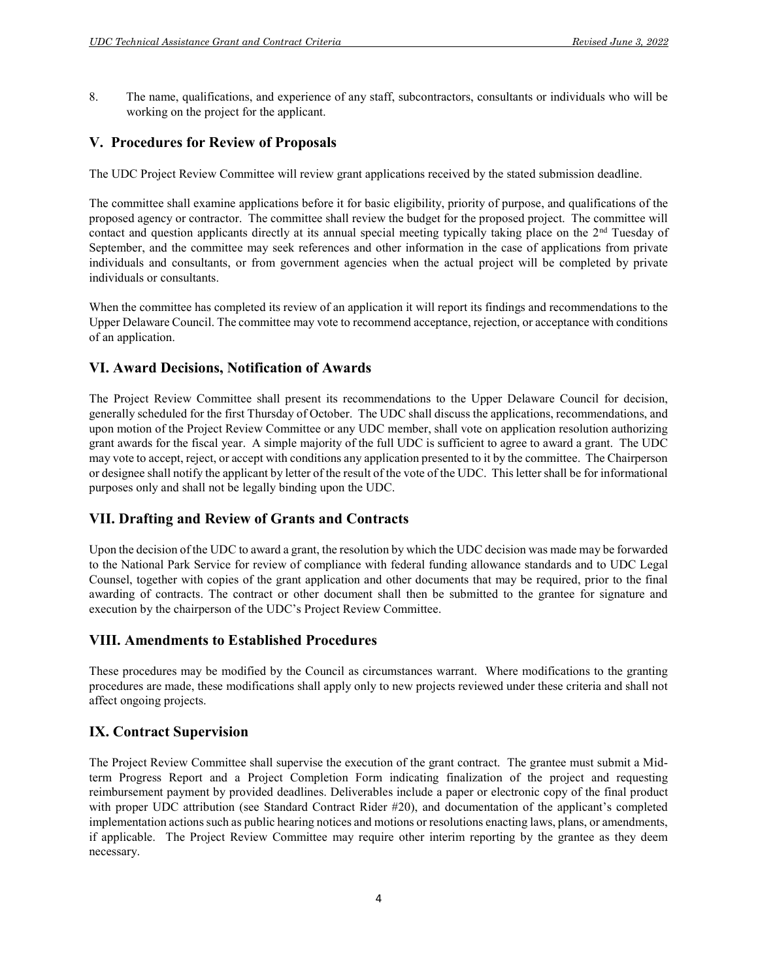8. The name, qualifications, and experience of any staff, subcontractors, consultants or individuals who will be working on the project for the applicant.

### V. Procedures for Review of Proposals

The UDC Project Review Committee will review grant applications received by the stated submission deadline.

The committee shall examine applications before it for basic eligibility, priority of purpose, and qualifications of the proposed agency or contractor. The committee shall review the budget for the proposed project. The committee will contact and question applicants directly at its annual special meeting typically taking place on the 2<sup>nd</sup> Tuesday of September, and the committee may seek references and other information in the case of applications from private individuals and consultants, or from government agencies when the actual project will be completed by private individuals or consultants.

When the committee has completed its review of an application it will report its findings and recommendations to the Upper Delaware Council. The committee may vote to recommend acceptance, rejection, or acceptance with conditions of an application.

#### VI. Award Decisions, Notification of Awards

The Project Review Committee shall present its recommendations to the Upper Delaware Council for decision, generally scheduled for the first Thursday of October. The UDC shall discuss the applications, recommendations, and upon motion of the Project Review Committee or any UDC member, shall vote on application resolution authorizing grant awards for the fiscal year. A simple majority of the full UDC is sufficient to agree to award a grant. The UDC may vote to accept, reject, or accept with conditions any application presented to it by the committee. The Chairperson or designee shall notify the applicant by letter of the result of the vote of the UDC. This letter shall be for informational purposes only and shall not be legally binding upon the UDC.

#### VII. Drafting and Review of Grants and Contracts

Upon the decision of the UDC to award a grant, the resolution by which the UDC decision was made may be forwarded to the National Park Service for review of compliance with federal funding allowance standards and to UDC Legal Counsel, together with copies of the grant application and other documents that may be required, prior to the final awarding of contracts. The contract or other document shall then be submitted to the grantee for signature and execution by the chairperson of the UDC's Project Review Committee.

#### VIII. Amendments to Established Procedures

These procedures may be modified by the Council as circumstances warrant. Where modifications to the granting procedures are made, these modifications shall apply only to new projects reviewed under these criteria and shall not affect ongoing projects.

#### IX. Contract Supervision

The Project Review Committee shall supervise the execution of the grant contract. The grantee must submit a Midterm Progress Report and a Project Completion Form indicating finalization of the project and requesting reimbursement payment by provided deadlines. Deliverables include a paper or electronic copy of the final product with proper UDC attribution (see Standard Contract Rider #20), and documentation of the applicant's completed implementation actions such as public hearing notices and motions or resolutions enacting laws, plans, or amendments, if applicable. The Project Review Committee may require other interim reporting by the grantee as they deem necessary.